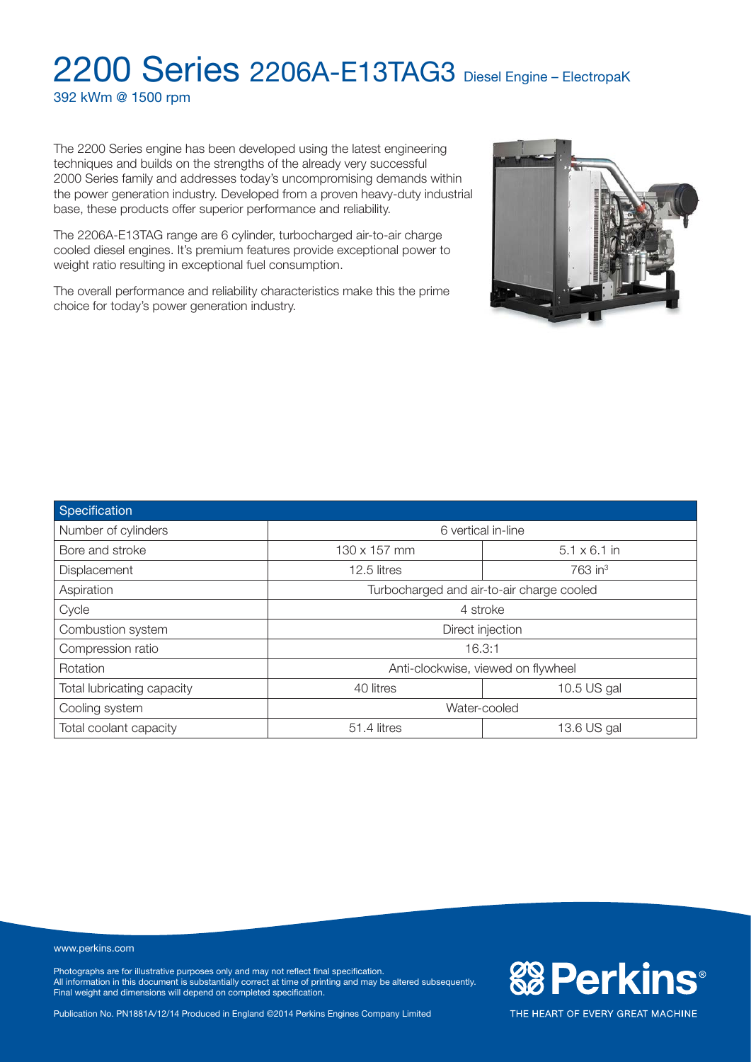392 kWm @ 1500 rpm

The 2200 Series engine has been developed using the latest engineering techniques and builds on the strengths of the already very successful 2000 Series family and addresses today's uncompromising demands within the power generation industry. Developed from a proven heavy-duty industrial base, these products offer superior performance and reliability.

The 2206A-E13TAG range are 6 cylinder, turbocharged air-to-air charge cooled diesel engines. It's premium features provide exceptional power to weight ratio resulting in exceptional fuel consumption.

The overall performance and reliability characteristics make this the prime choice for today's power generation industry.



| Specification              |                                           |                     |  |
|----------------------------|-------------------------------------------|---------------------|--|
| Number of cylinders        | 6 vertical in-line                        |                     |  |
| Bore and stroke            | 130 x 157 mm                              | $5.1 \times 6.1$ in |  |
| Displacement               | 12.5 litres                               | 763 in <sup>3</sup> |  |
| Aspiration                 | Turbocharged and air-to-air charge cooled |                     |  |
| Cycle                      | 4 stroke                                  |                     |  |
| Combustion system          | Direct injection                          |                     |  |
| Compression ratio          | 16.3:1                                    |                     |  |
| Rotation                   | Anti-clockwise, viewed on flywheel        |                     |  |
| Total lubricating capacity | 40 litres<br>10.5 US gal                  |                     |  |
| Cooling system             | Water-cooled                              |                     |  |
| Total coolant capacity     | 51.4 litres                               | 13.6 US gal         |  |

www.perkins.com

Photographs are for illustrative purposes only and may not reflect final specification. All information in this document is substantially correct at time of printing and may be altered subsequently. Final weight and dimensions will depend on completed specification.

Publication No. PN1881A/12/14 Produced in England ©2014 Perkins Engines Company Limited

**&B Perkins®**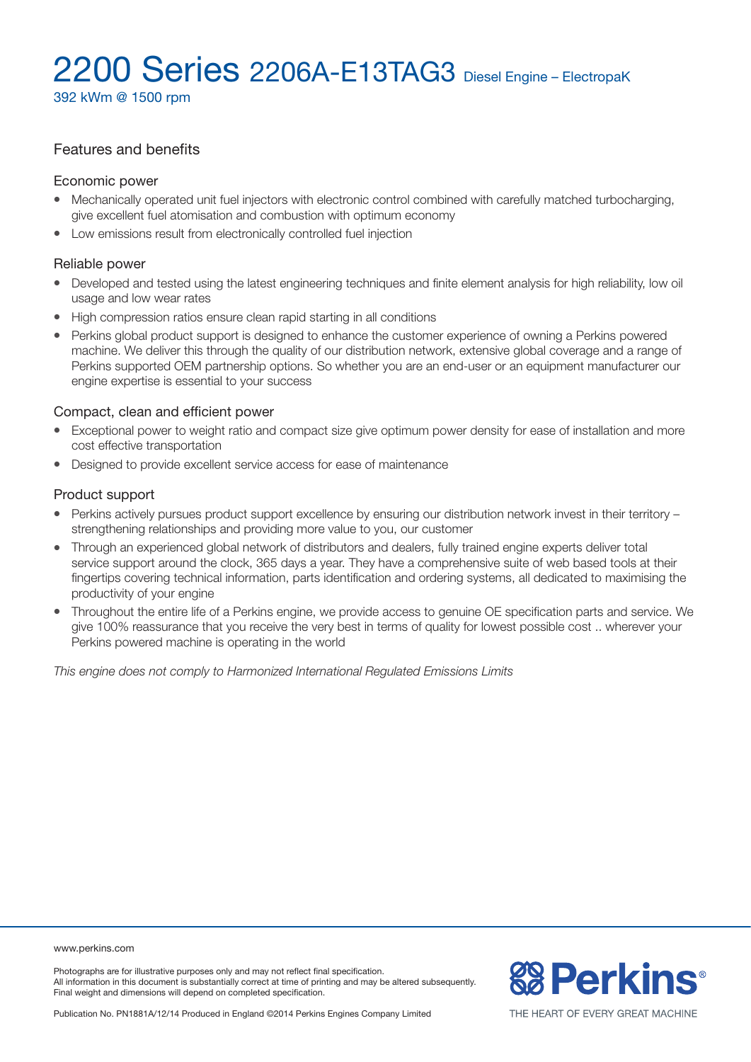392 kWm @ 1500 rpm

# Features and benefits

#### Economic power

- Mechanically operated unit fuel injectors with electronic control combined with carefully matched turbocharging, give excellent fuel atomisation and combustion with optimum economy
- Low emissions result from electronically controlled fuel injection

#### Reliable power

- Developed and tested using the latest engineering techniques and finite element analysis for high reliability, low oil usage and low wear rates
- High compression ratios ensure clean rapid starting in all conditions
- <sup>l</sup> Perkins global product support is designed to enhance the customer experience of owning a Perkins powered machine. We deliver this through the quality of our distribution network, extensive global coverage and a range of Perkins supported OEM partnership options. So whether you are an end-user or an equipment manufacturer our engine expertise is essential to your success

#### Compact, clean and efficient power

- Exceptional power to weight ratio and compact size give optimum power density for ease of installation and more cost effective transportation
- Designed to provide excellent service access for ease of maintenance

#### Product support

- Perkins actively pursues product support excellence by ensuring our distribution network invest in their territory strengthening relationships and providing more value to you, our customer
- Through an experienced global network of distributors and dealers, fully trained engine experts deliver total service support around the clock, 365 days a year. They have a comprehensive suite of web based tools at their fingertips covering technical information, parts identification and ordering systems, all dedicated to maximising the productivity of your engine
- Throughout the entire life of a Perkins engine, we provide access to genuine OE specification parts and service. We give 100% reassurance that you receive the very best in terms of quality for lowest possible cost .. wherever your Perkins powered machine is operating in the world

*This engine does not comply to Harmonized International Regulated Emissions Limits*

www.perkins.com

Photographs are for illustrative purposes only and may not reflect final specification. All information in this document is substantially correct at time of printing and may be altered subsequently. Final weight and dimensions will depend on completed specification.

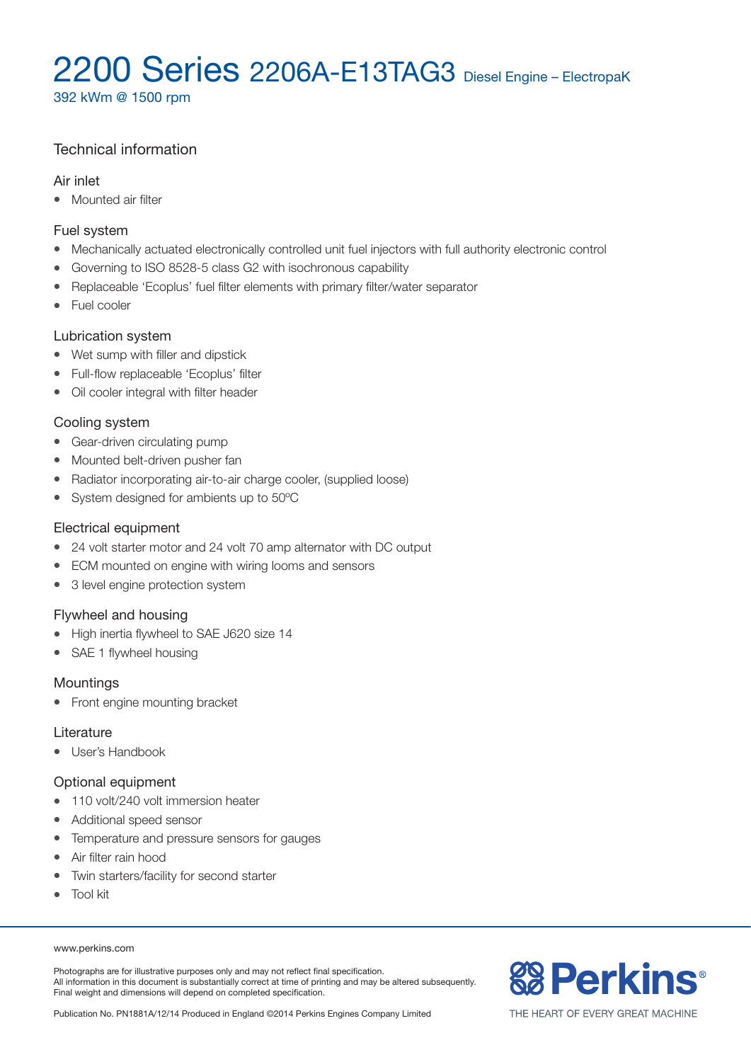392 kWm @ 1500 rpm

# Technical information

#### Air inlet

• Mounted air filter

### Fuel system

- Mechanically actuated electronically controlled unit fuel injectors with full authority electronic control
- Governing to ISO 8528-5 class G2 with isochronous capability
- Replaceable 'Ecoplus' fuel filter elements with primary filter/water separator
- $\bullet$  Fuel cooler

### Lubrication system

- Wet sump with filler and dipstick
- Full-flow replaceable 'Ecoplus' filter
- Oil cooler integral with filter header

### Cooling system

- Gear-driven circulating pump
- Mounted belt-driven pusher fan
- Radiator incorporating air-to-air charge cooler, (supplied loose)
- System designed for ambients up to 50°C

### Electrical equipment

- 24 volt starter motor and 24 volt 70 amp alternator with DC output
- ECM mounted on engine with wiring looms and sensors
- 3 level engine protection system

# Flywheel and housing

- High inertia flywheel to SAE J620 size 14
- SAE 1 flywheel housing

# Mountings

• Front engine mounting bracket

#### **Literature**

• User's Handbook

# Optional equipment

- 110 volt/240 volt immersion heater
- Additional speed sensor
- Temperature and pressure sensors for gauges
- Air filter rain hood
- Twin starters/facility for second starter
- Tool kit

#### www.perkins.com

Photographs are for illustrative purposes only and may not reflect final specification. All information in this document is substantially correct at time of printing and may be altered subsequently. Final weight and dimensions will depend on completed specification.

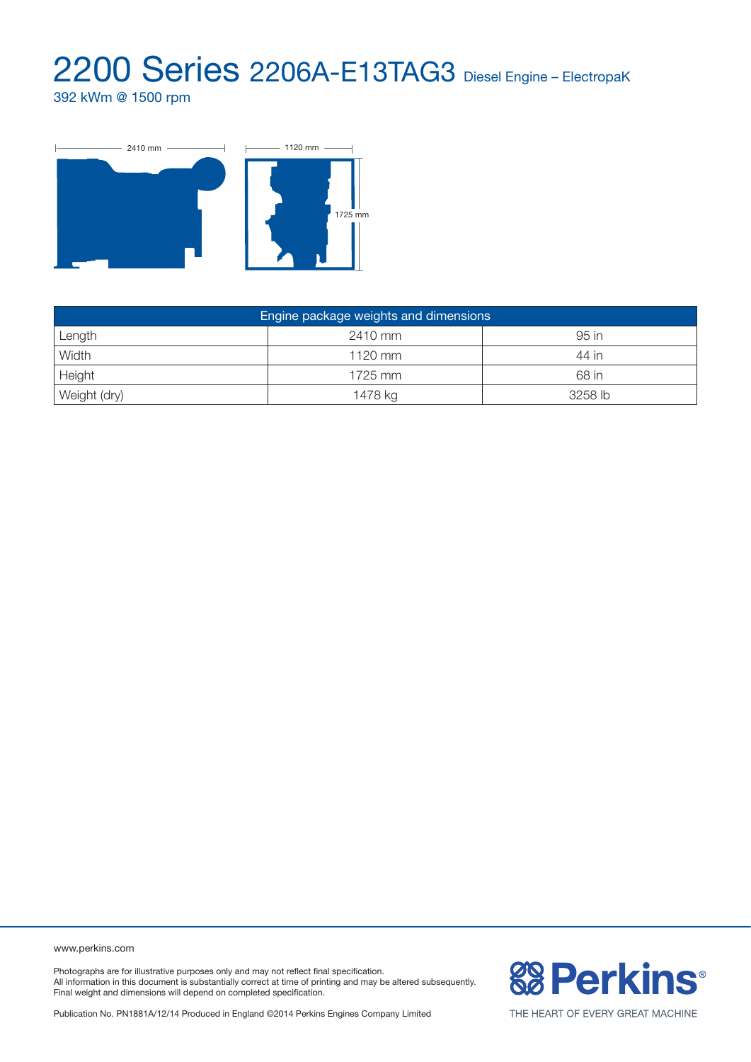392 kWm @ 1500 rpm



| Engine package weights and dimensions |           |         |  |  |  |
|---------------------------------------|-----------|---------|--|--|--|
| Length                                | 2410 mm   | 95 in   |  |  |  |
| Width                                 | $1120$ mm | 44 in   |  |  |  |
| Height                                | 1725 mm   | 68 in   |  |  |  |
| Weight (dry)                          | 1478 kg   | 3258 lb |  |  |  |

www.perkins.com

Photographs are for illustrative purposes only and may not reflect final specification. All information in this document is substantially correct at time of printing and may be altered subsequently. Final weight and dimensions will depend on completed specification.

**& Perkins®** 

Publication No. PN1881A/12/14 Produced in England ©2014 Perkins Engines Company Limited